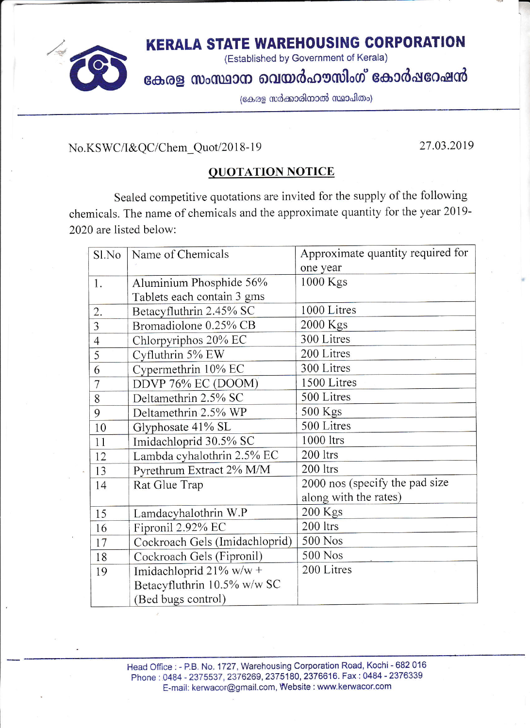

**KERALA STATE WAREHOUSING CORPORATION** 

(Established by Government of Kerala)

കേരള സംസ്ഥാന വെയർഹൗസിംഗ് കോർഷറേഷൻ

(കേരള സർക്കാരിനാൽ സ്ഥാപിതം)

No.KSWC/I&QC/Chem Quot/2018-19

27.03.2019

#### **QUOTATION NOTICE**

Sealed competitive quotations are invited for the supply of the following chemicals. The name of chemicals and the approximate quantity for the year 2019-2020 are listed below:

| Sl.No          | Name of Chemicals              | Approximate quantity required for |
|----------------|--------------------------------|-----------------------------------|
|                |                                | one year                          |
| 1.             | Aluminium Phosphide 56%        | $1000$ Kgs                        |
|                | Tablets each contain 3 gms     |                                   |
| 2.             | Betacyfluthrin 2.45% SC        | 1000 Litres                       |
| $\overline{3}$ | Bromadiolone 0.25% CB          | 2000 Kgs                          |
| $\overline{4}$ | Chlorpyriphos 20% EC           | 300 Litres                        |
| 5              | Cyfluthrin 5% EW               | 200 Litres                        |
| 6              | Cypermethrin 10% EC            | 300 Litres                        |
| $\overline{7}$ | DDVP 76% EC (DOOM)             | 1500 Litres                       |
| 8              | Deltamethrin 2.5% SC           | 500 Litres                        |
| 9              | Deltamethrin 2.5% WP           | 500 Kgs                           |
| 10             | Glyphosate 41% SL              | 500 Litres                        |
| 11             | Imidachloprid 30.5% SC         | 1000 ltrs                         |
| 12             | Lambda cyhalothrin 2.5% EC     | 200 ltrs                          |
| 13             | Pyrethrum Extract 2% M/M       | 200 ltrs                          |
| 14             | Rat Glue Trap                  | 2000 nos (specify the pad size    |
|                |                                | along with the rates)             |
| 15             | Lamdacyhalothrin W.P           | $200$ Kgs                         |
| 16             | Fipronil 2.92% EC              | 200 ltrs                          |
| 17             | Cockroach Gels (Imidachloprid) | 500 Nos                           |
| 18             | Cockroach Gels (Fipronil)      | 500 Nos                           |
| 19             | Imidachloprid $21\%$ w/w +     | 200 Litres                        |
|                | Betacyfluthrin 10.5% w/w SC    |                                   |
|                | (Bed bugs control)             |                                   |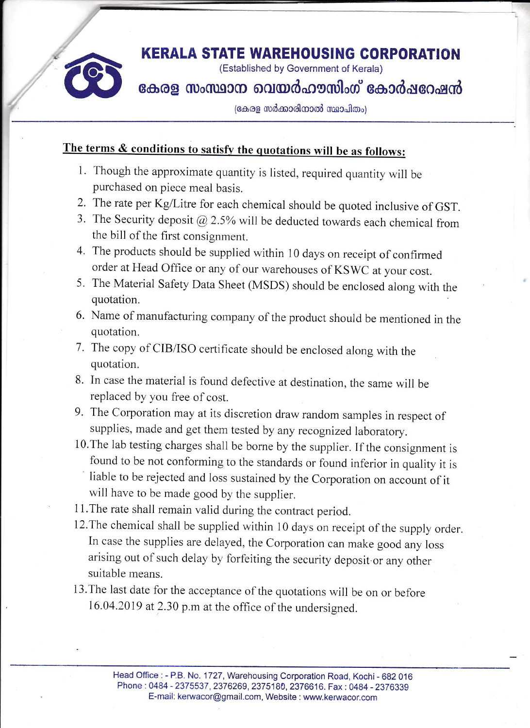

## **KERALA STATE WAREHOUSING CORPORATION**

(Established by Government of Kerala)

### കേരള സംസ്ഥാന വെയർഹൗസിംഗ് കോർഷറേഷൻ

(കേരള സർക്കാരിനാൽ സ്ഥാപിതം)

### The terms & conditions to satisfy the quotations will be as follows:

- 1. Though the approximate quantity is listed, required quantity will be purchased on piece meal basis.
- 2. The rate per Kg/Litre for each chemical should be quoted inclusive of GST.
- 3. The Security deposit  $@$  2.5% will be deducted towards each chemical from the bill of the first consignment.
- 4. The products should be supplied within 10 days on receipt of confirmed order at Head Office or any of our warehouses of KSWC at your cost.
- 5. The Material Safety Data Sheet (MSDS) should be enclosed along with the quotation.
- 6. Name of manufacturing company of the product should be mentioned in the quotation.
- 7. The copy of CIB/ISO certificate should be enclosed along with the quotation.
- 8. In case the material is found defective at destination, the same will be replaced by you free of cost.
- 9. The Corporation may at its discretion draw random samples in respect of supplies, made and get them tested by any recognized laboratory.
- 10. The lab testing charges shall be borne by the supplier. If the consignment is found to be not conforming to the standards or found inferior in quality it is liable to be rejected and loss sustained by the Corporation on account of it will have to be made good by the supplier.
- 11. The rate shall remain valid during the contract period.
- 12. The chemical shall be supplied within 10 days on receipt of the supply order. In case the supplies are delayed, the Corporation can make good any loss arising out of such delay by forfeiting the security deposit or any other suitable means.
- 13. The last date for the acceptance of the quotations will be on or before 16.04.2019 at 2.30 p.m at the office of the undersigned.